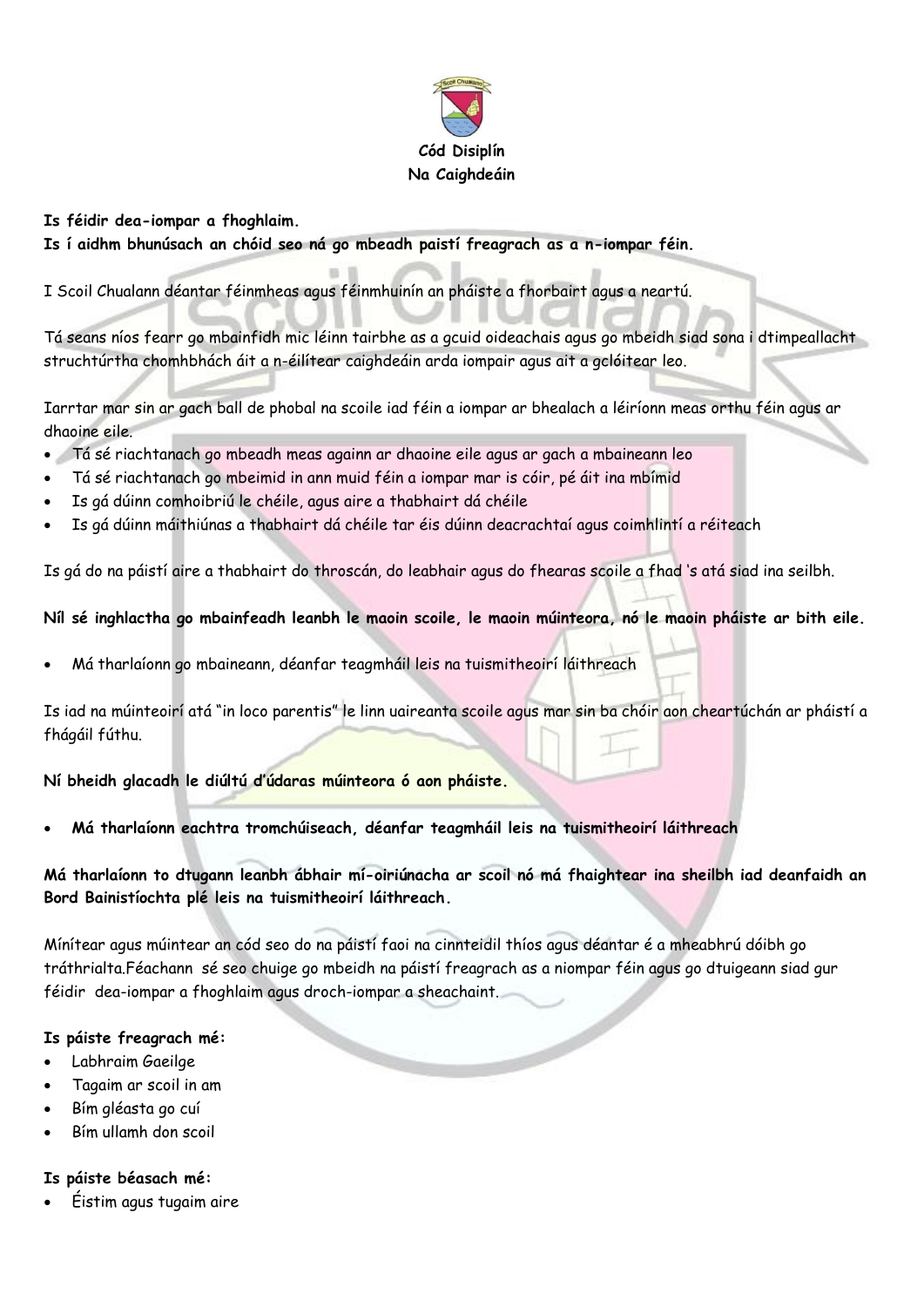

### **Is féidir dea-iompar a fhoghlaim.**

**Is í aidhm bhunúsach an chóid seo ná go mbeadh paistí freagrach as a n-iompar féin.**

I Scoil Chualann déantar féinmheas agus féinmhuinín an pháiste a fhorbairt agus a neartú.

Tá seans níos fearr go mbainfidh mic léinn tairbhe as a gcuid oideachais agus go mbeidh siad sona i dtimpeallacht struchtúrtha chomhbhách áit a n-éilítear caighdeáin arda iompair agus ait a gclóitear leo.

Iarrtar mar sin ar gach ball de phobal na scoile iad féin a iompar ar bhealach a léiríonn meas orthu féin agus ar dhaoine eile.

- Tá sé riachtanach go mbeadh meas againn ar dhaoine eile agus ar gach a mbaineann leo
- Tá sé riachtanach go mbeimid in ann muid féin a iompar mar is cóir, pé áit ina mbímid
- Is gá dúinn comhoibriú le chéile, agus aire a thabhairt dá chéile
- Is gá dúinn máithiúnas a thabhairt dá chéile tar éis dúinn deacrachtaí agus coimhlintí a réiteach

Is gá do na páistí aire a thabhairt do throscán, do leabhair agus do fhearas scoile a fhad 's atá siad ina seilbh.

### **Níl sé inghlactha go mbainfeadh leanbh le maoin scoile, le maoin múinteora, nó le maoin pháiste ar bith eile.**

Má tharlaíonn go mbaineann, déanfar teagmháil leis na tuismitheoirí láithreach

Is iad na múinteoirí atá "in loco parentis" le linn uaireanta scoile agus mar sin ba chóir aon cheartúchán ar pháistí a fhágáil fúthu.

**Ní bheidh glacadh le diúltú d'údaras múinteora ó aon pháiste.**

**Má tharlaíonn eachtra tromchúiseach, déanfar teagmháil leis na tuismitheoirí láithreach**

**Má tharlaíonn to dtugann leanbh ábhair mí-oiriúnacha ar scoil nó má fhaightear ina sheilbh iad deanfaidh an Bord Bainistíochta plé leis na tuismitheoirí láithreach.**

Mínítear agus múintear an cód seo do na páistí faoi na cinnteidil thíos agus déantar é a mheabhrú dóibh go tráthrialta.Féachann sé seo chuige go mbeidh na páistí freagrach as a niompar féin agus go dtuigeann siad gur féidir dea-iompar a fhoghlaim agus droch-iompar a sheachaint.

### **Is páiste freagrach mé:**

- Labhraim Gaeilge
- Tagaim ar scoil in am
- Bím gléasta go cuí
- Bím ullamh don scoil

### **Is páiste béasach mé:**

Éistim agus tugaim aire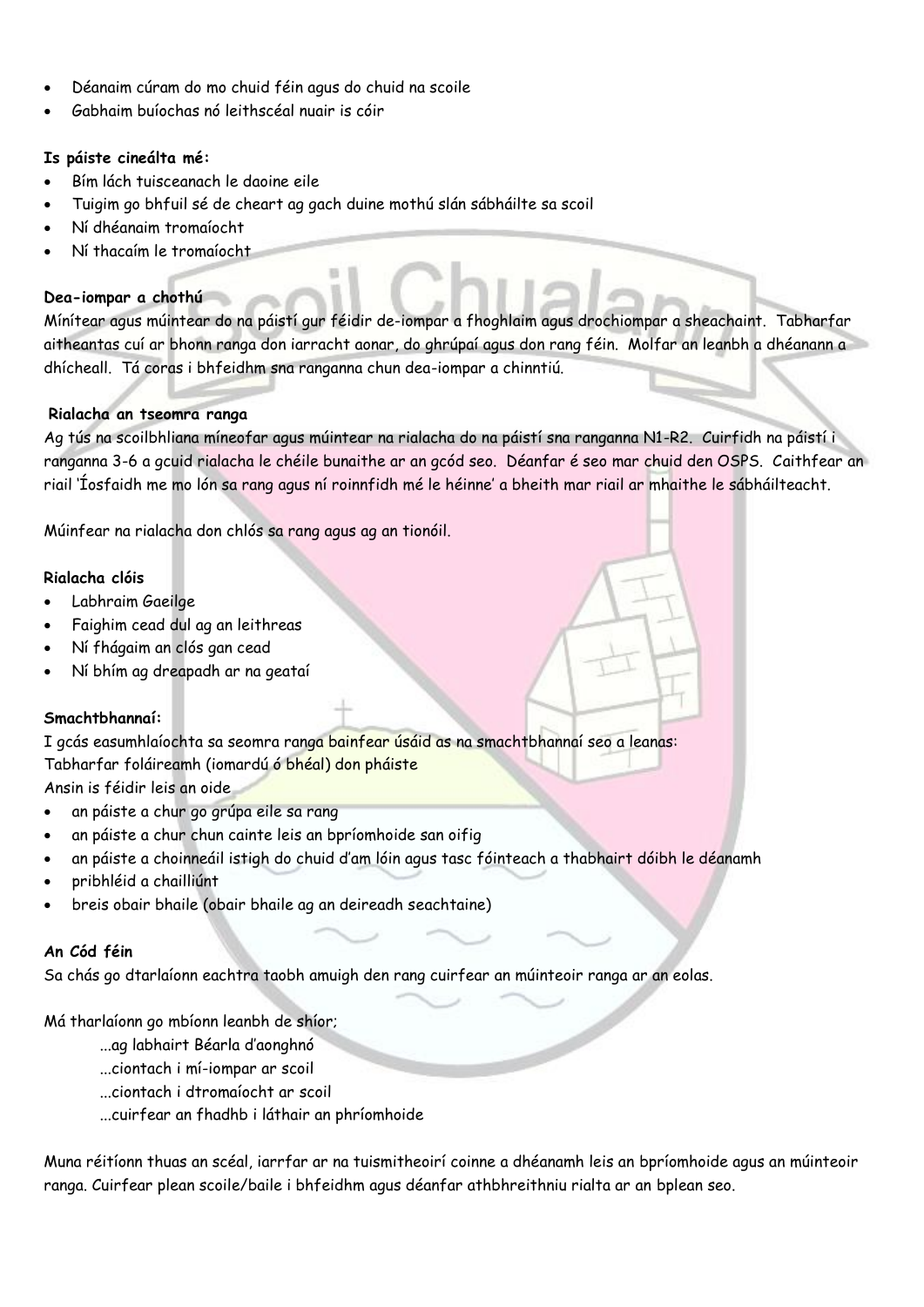- Déanaim cúram do mo chuid féin agus do chuid na scoile
- Gabhaim buíochas nó leithscéal nuair is cóir

### **Is páiste cineálta mé:**

- Bím lách tuisceanach le daoine eile
- Tuigim go bhfuil sé de cheart ag gach duine mothú slán sábháilte sa scoil
- Ní dhéanaim tromaíocht
- Ní thacaím le tromaíocht

### **Dea-iompar a chothú**

Mínítear agus múintear do na páistí gur féidir de-iompar a fhoghlaim agus drochiompar a sheachaint. Tabharfar aitheantas cuí ar bhonn ranga don iarracht aonar, do ghrúpaí agus don rang féin. Molfar an leanbh a dhéanann a dhícheall. Tá coras i bhfeidhm sna ranganna chun dea-iompar a chinntiú.

### **Rialacha an tseomra ranga**

Ag tús na scoilbhliana míneofar agus múintear na rialacha do na páistí sna ranganna N1-R2. Cuirfidh na páistí i ranganna 3-6 a gcuid rialacha le chéile bunaithe ar an gcód seo. Déanfar é seo mar chuid den OSPS. Caithfear an riail 'Íosfaidh me mo lón sa rang agus ní roinnfidh mé le héinne' a bheith mar riail ar mhaithe le sábháilteacht.

Múinfear na rialacha don chlós sa rang agus ag an tionóil.

#### **Rialacha clóis**

- Labhraim Gaeilge
- Faighim cead dul ag an leithreas
- Ní fhágaim an clós gan cead
- Ní bhím ag dreapadh ar na geataí

### **Smachtbhannaí:**

I gcás easumhlaíochta sa seomra ranga bainfear úsáid as na smachtbhannaí seo a leanas: Tabharfar foláireamh (iomardú ó bhéal) don pháiste

Ansin is féidir leis an oide

- an páiste a chur go grúpa eile sa rang
- an páiste a chur chun cainte leis an bpríomhoide san oifig
- an páiste a choinneáil istigh do chuid d'am lóin agus tasc fóinteach a thabhairt dóibh le déanamh
- pribhléid a chailliúnt
- breis obair bhaile (obair bhaile ag an deireadh seachtaine)

### **An Cód féin**

Sa chás go dtarlaíonn eachtra taobh amuigh den rang cuirfear an múinteoir ranga ar an eolas.

Má tharlaíonn go mbíonn leanbh de shíor;

- ...ag labhairt Béarla d'aonghnó
- ...ciontach i mí-iompar ar scoil
- ...ciontach i dtromaíocht ar scoil
- ...cuirfear an fhadhb i láthair an phríomhoide

Muna réitíonn thuas an scéal, iarrfar ar na tuismitheoirí coinne a dhéanamh leis an bpríomhoide agus an múinteoir ranga. Cuirfear plean scoile/baile i bhfeidhm agus déanfar athbhreithniu rialta ar an bplean seo.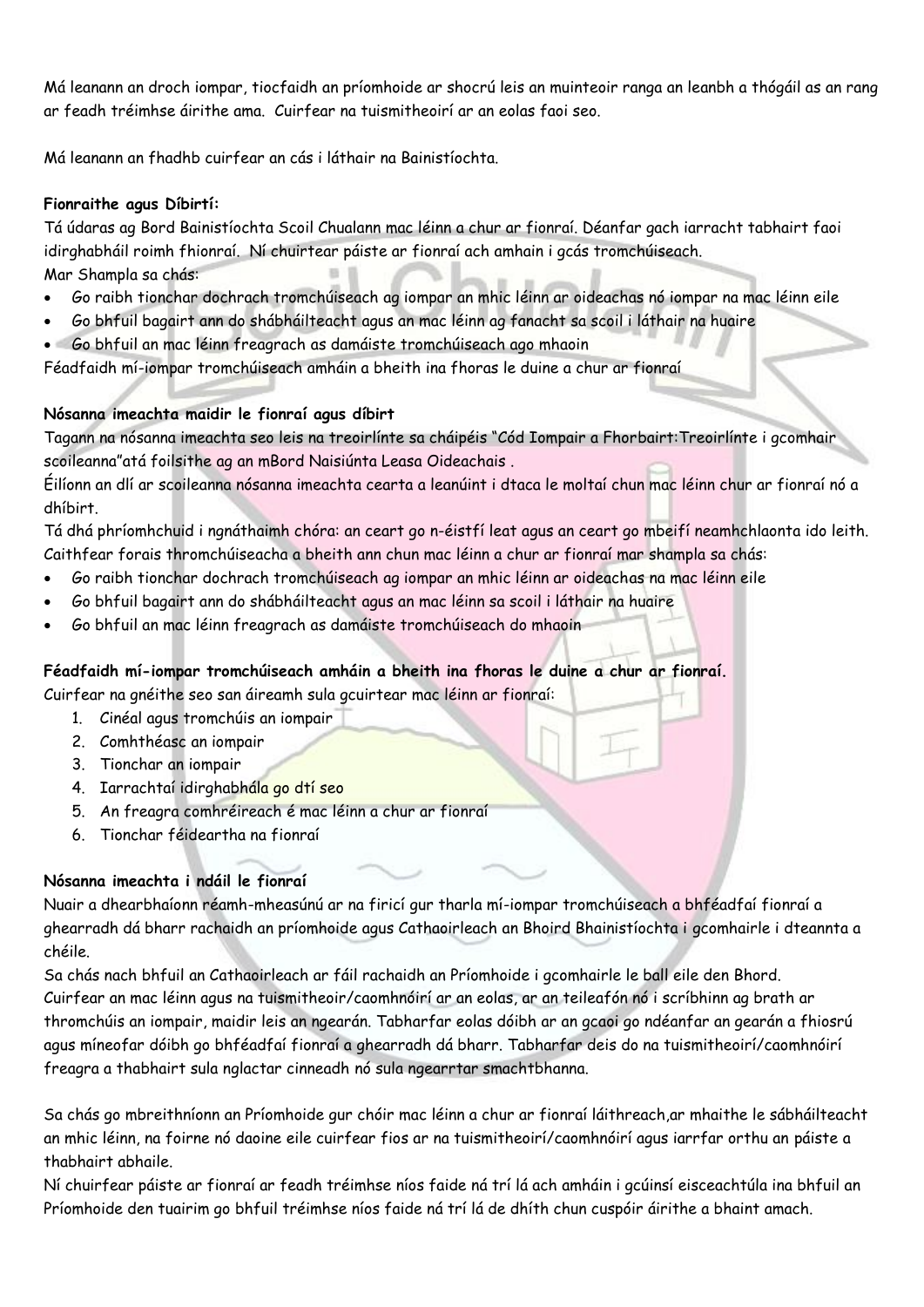Má leanann an droch iompar, tiocfaidh an príomhoide ar shocrú leis an muinteoir ranga an leanbh a thógáil as an rang ar feadh tréimhse áirithe ama. Cuirfear na tuismitheoirí ar an eolas faoi seo.

Má leanann an fhadhb cuirfear an cás i láthair na Bainistíochta.

### **Fionraithe agus Díbirtí:**

Tá údaras ag Bord Bainistíochta Scoil Chualann mac léinn a chur ar fionraí. Déanfar gach iarracht tabhairt faoi idirghabháil roimh fhionraí. Ní chuirtear páiste ar fionraí ach amhain i gcás tromchúiseach. Mar Shampla sa chás:

- Go raibh tionchar dochrach tromchúiseach ag iompar an mhic léinn ar oideachas nó iompar na mac léinn eile
- Go bhfuil bagairt ann do shábháilteacht agus an mac léinn ag fanacht sa scoil i láthair na huaire
- Go bhfuil an mac léinn freagrach as damáiste tromchúiseach ago mhaoin

Féadfaidh mí-iompar tromchúiseach amháin a bheith ina fhoras le duine a chur ar fionraí

### **Nósanna imeachta maidir le fionraí agus díbirt**

Tagann na nósanna imeachta seo leis na treoirlínte sa cháipéis "Cód Iompair a Fhorbairt:Treoirlínte i gcomhair scoileanna"atá foilsithe ag an mBord Naisiúnta Leasa Oideachais .

Éilíonn an dlí ar scoileanna nósanna imeachta cearta a leanúint i dtaca le moltaí chun mac léinn chur ar fionraí nó a dhíbirt.

Tá dhá phríomhchuid i ngnáthaimh chóra: an ceart go n-éistfí leat agus an ceart go mbeifí neamhchlaonta ido leith. Caithfear forais thromchúiseacha a bheith ann chun mac léinn a chur ar fionraí mar shampla sa chás:

- Go raibh tionchar dochrach tromchúiseach ag iompar an mhic léinn ar oideachas na mac léinn eile
- Go bhfuil bagairt ann do shábháilteacht agus an mac léinn sa scoil i láthair na huaire
- Go bhfuil an mac léinn freagrach as damáiste tromchúiseach do mhaoin

# **Féadfaidh mí-iompar tromchúiseach amháin a bheith ina fhoras le duine a chur ar fionraí.**

Cuirfear na gnéithe seo san áireamh sula gcuirtear mac léinn ar fionraí:

- 1. Cinéal agus tromchúis an iompair
- 2. Comhthéasc an iompair
- 3. Tionchar an iompair
- 4. Iarrachtaí idirghabhála go dtí seo
- 5. An freagra comhréireach é mac léinn a chur ar fionraí
- 6. Tionchar féideartha na fionraí

# **Nósanna imeachta i ndáil le fionraí**

Nuair a dhearbhaíonn réamh-mheasúnú ar na firicí gur tharla mí-iompar tromchúiseach a bhféadfaí fionraí a ghearradh dá bharr rachaidh an príomhoide agus Cathaoirleach an Bhoird Bhainistíochta i gcomhairle i dteannta a chéile.

Sa chás nach bhfuil an Cathaoirleach ar fáil rachaidh an Príomhoide i gcomhairle le ball eile den Bhord. Cuirfear an mac léinn agus na tuismitheoir/caomhnóirí ar an eolas, ar an teileafón nó i scríbhinn ag brath ar thromchúis an iompair, maidir leis an ngearán. Tabharfar eolas dóibh ar an gcaoi go ndéanfar an gearán a fhiosrú agus míneofar dóibh go bhféadfaí fionraí a ghearradh dá bharr. Tabharfar deis do na tuismitheoirí/caomhnóirí freagra a thabhairt sula nglactar cinneadh nó sula ngearrtar smachtbhanna.

Sa chás go mbreithníonn an Príomhoide gur chóir mac léinn a chur ar fionraí láithreach,ar mhaithe le sábháilteacht an mhic léinn, na foirne nó daoine eile cuirfear fios ar na tuismitheoirí/caomhnóirí agus iarrfar orthu an páiste a thabhairt abhaile.

Ní chuirfear páiste ar fionraí ar feadh tréimhse níos faide ná trí lá ach amháin i gcúinsí eisceachtúla ina bhfuil an Príomhoide den tuairim go bhfuil tréimhse níos faide ná trí lá de dhíth chun cuspóir áirithe a bhaint amach.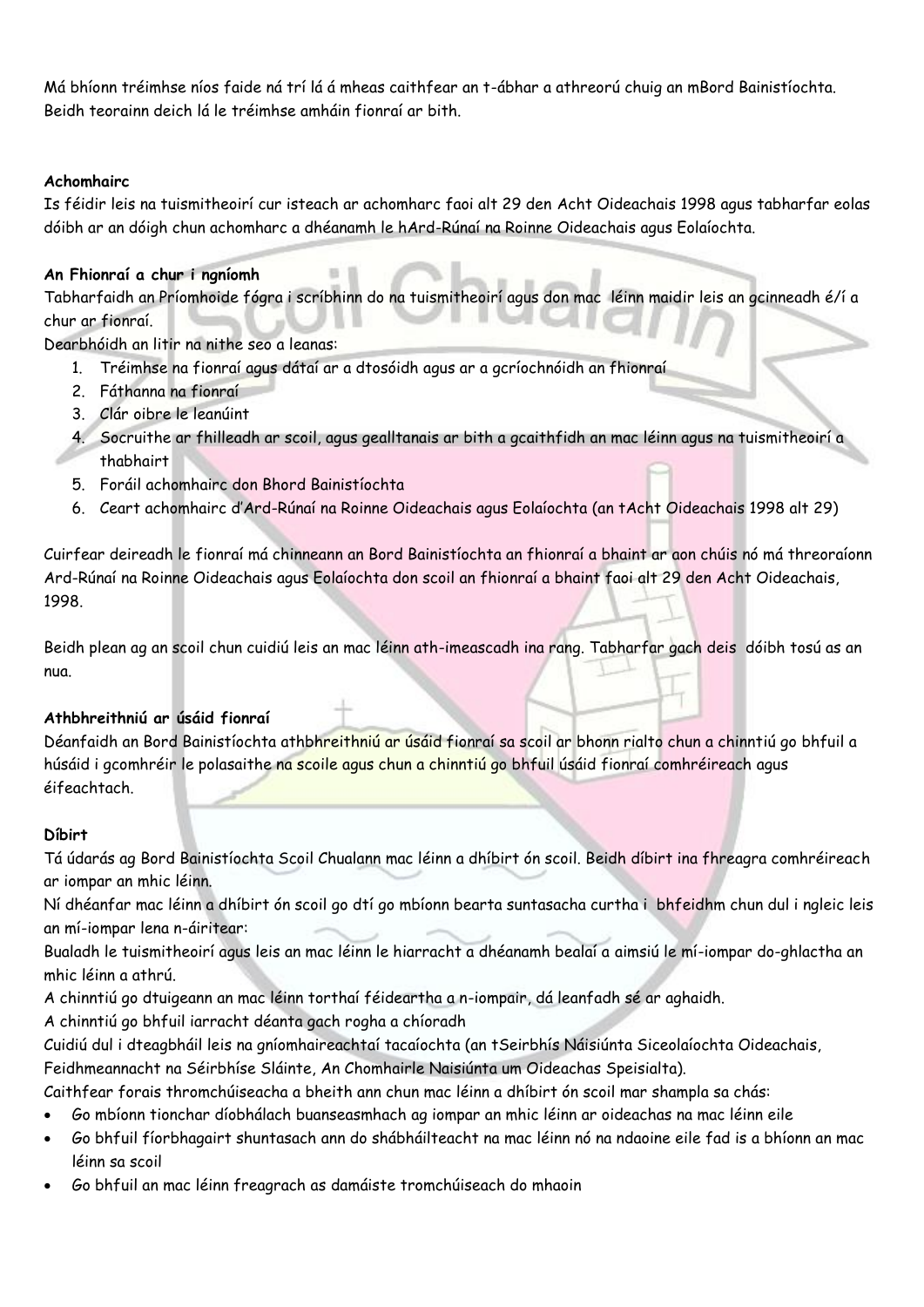Má bhíonn tréimhse níos faide ná trí lá á mheas caithfear an t-ábhar a athreorú chuig an mBord Bainistíochta. Beidh teorainn deich lá le tréimhse amháin fionraí ar bith.

### **Achomhairc**

Is féidir leis na tuismitheoirí cur isteach ar achomharc faoi alt 29 den Acht Oideachais 1998 agus tabharfar eolas dóibh ar an dóigh chun achomharc a dhéanamh le hArd-Rúnaí na Roinne Oideachais agus Eolaíochta.

### **An Fhionraí a chur i ngníomh**

Tabharfaidh an Príomhoide fógra i scríbhinn do na tuismitheoirí agus don mac léinn maidir leis an gcinneadh é/í a chur ar fionraí.

Dearbhóidh an litir na nithe seo a leanas:

- 1. Tréimhse na fionraí agus dátaí ar a dtosóidh agus ar a gcríochnóidh an fhionraí
- 2. Fáthanna na fionraí
- 3. Clár oibre le leanúint
- 4. Socruithe ar fhilleadh ar scoil, agus gealltanais ar bith a gcaithfidh an mac léinn agus na tuismitheoirí a thabhairt
- 5. Foráil achomhairc don Bhord Bainistíochta
- 6. Ceart achomhairc d'Ard-Rúnaí na Roinne Oideachais agus Eolaíochta (an tAcht Oideachais 1998 alt 29)

Cuirfear deireadh le fionraí má chinneann an Bord Bainistíochta an fhionraí a bhaint ar aon chúis nó má threoraíonn Ard-Rúnaí na Roinne Oideachais agus Eolaíochta don scoil an fhionraí a bhaint faoi alt 29 den Acht Oideachais, 1998.

Beidh plean ag an scoil chun cuidiú leis an mac léinn ath-imeascadh ina rang. Tabharfar gach deis dóibh tosú as an nua.

### **Athbhreithniú ar úsáid fionraí**

Déanfaidh an Bord Bainistíochta athbhreithniú ar úsáid fionraí sa scoil ar bhonn rialto chun a chinntiú go bhfuil a húsáid i gcomhréir le polasaithe na scoile agus chun a chinntiú go bhfuil úsáid fionraí comhréireach agus éifeachtach.

### **Díbirt**

Tá údarás ag Bord Bainistíochta Scoil Chualann mac léinn a dhíbirt ón scoil. Beidh díbirt ina fhreagra comhréireach ar iompar an mhic léinn.

Ní dhéanfar mac léinn a dhíbirt ón scoil go dtí go mbíonn bearta suntasacha curtha i bhfeidhm chun dul i ngleic leis an mí-iompar lena n-áiritear:

Bualadh le tuismitheoirí agus leis an mac léinn le hiarracht a dhéanamh bealaí a aimsiú le mí-iompar do-ghlactha an mhic léinn a athrú.

A chinntiú go dtuigeann an mac léinn torthaí féideartha a n-iompair, dá leanfadh sé ar aghaidh.

A chinntiú go bhfuil iarracht déanta gach rogha a chíoradh

Cuidiú dul i dteagbháil leis na gníomhaireachtaí tacaíochta (an tSeirbhís Náisiúnta Siceolaíochta Oideachais,

Feidhmeannacht na Séirbhíse Sláinte, An Chomhairle Naisiúnta um Oideachas Speisialta).

Caithfear forais thromchúiseacha a bheith ann chun mac léinn a dhíbirt ón scoil mar shampla sa chás:

- Go mbíonn tionchar díobhálach buanseasmhach ag iompar an mhic léinn ar oideachas na mac léinn eile
- Go bhfuil fíorbhagairt shuntasach ann do shábháilteacht na mac léinn nó na ndaoine eile fad is a bhíonn an mac léinn sa scoil
- Go bhfuil an mac léinn freagrach as damáiste tromchúiseach do mhaoin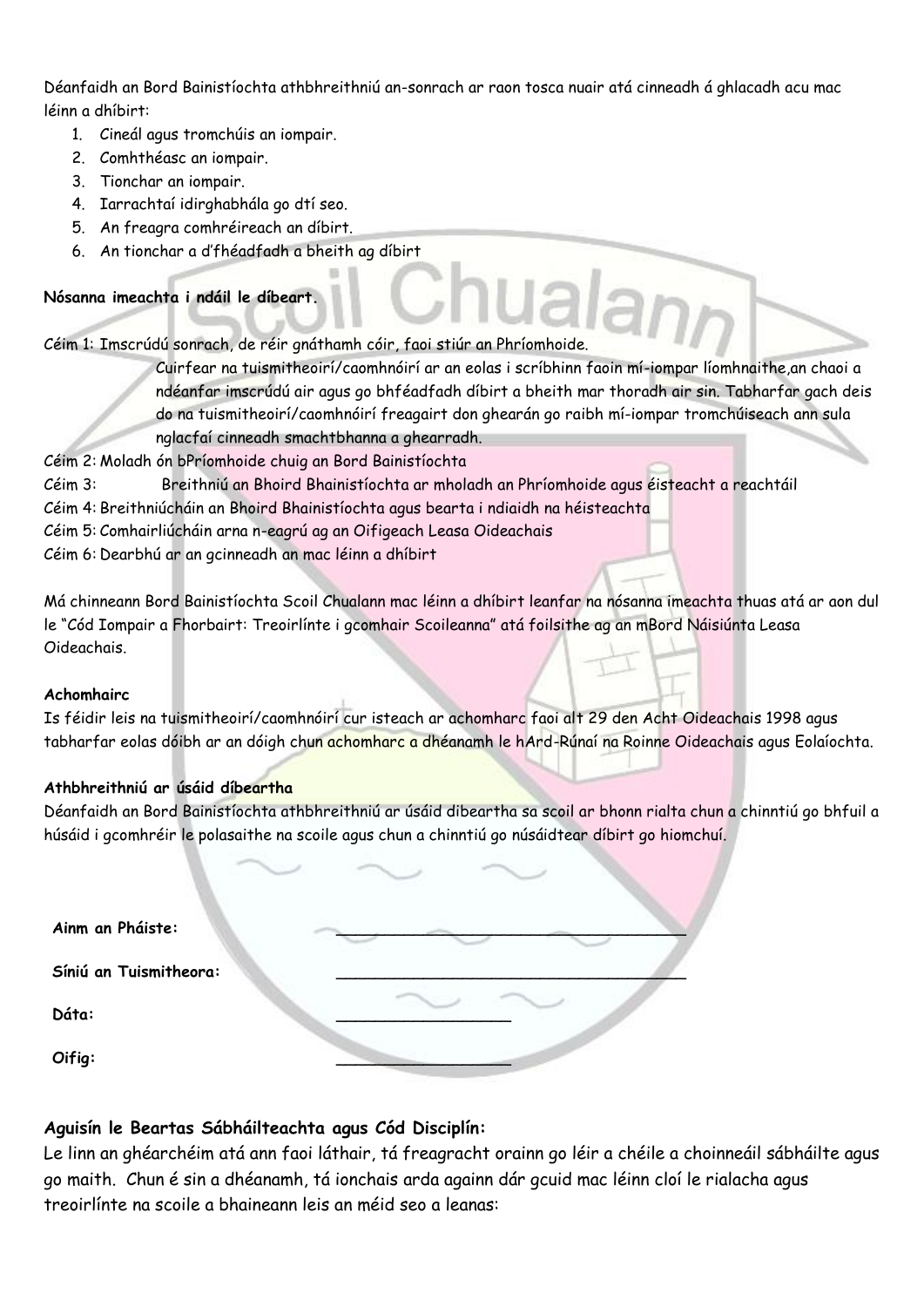Déanfaidh an Bord Bainistíochta athbhreithniú an-sonrach ar raon tosca nuair atá cinneadh á ghlacadh acu mac léinn a dhíbirt:

- 1. Cineál agus tromchúis an iompair.
- 2. Comhthéasc an iompair.
- 3. Tionchar an iompair.
- 4. Iarrachtaí idirghabhála go dtí seo.
- 5. An freagra comhréireach an díbirt.
- 6. An tionchar a d'fhéadfadh a bheith ag díbirt

# **Nósanna imeachta i ndáil le díbeart.**

Céim 1: Imscrúdú sonrach, de réir gnáthamh cóir, faoi stiúr an Phríomhoide.

Cuirfear na tuismitheoirí/caomhnóirí ar an eolas i scríbhinn faoin mí-iompar líomhnaithe,an chaoi a ndéanfar imscrúdú air agus go bhféadfadh díbirt a bheith mar thoradh air sin. Tabharfar gach deis do na tuismitheoirí/caomhnóirí freagairt don ghearán go raibh mí-iompar tromchúiseach ann sula nglacfaí cinneadh smachtbhanna a ghearradh.

- Céim 2: Moladh ón bPríomhoide chuig an Bord Bainistíochta
- Céim 3: Breithniú an Bhoird Bhainistíochta ar mholadh an Phríomhoide agus éisteacht a reachtáil
- Céim 4: Breithniúcháin an Bhoird Bhainistíochta agus bearta i ndiaidh na héisteachta
- Céim 5: Comhairliúcháin arna n-eagrú ag an Oifigeach Leasa Oideachais
- Céim 6: Dearbhú ar an gcinneadh an mac léinn a dhíbirt

Má chinneann Bord Bainistíochta Scoil Chualann mac léinn a dhíbirt leanfar na nósanna imeachta thuas atá ar aon dul le "Cód Iompair a Fhorbairt: Treoirlínte i gcomhair Scoileanna" atá foilsithe ag an mBord Náisiúnta Leasa Oideachais.

### **Achomhairc**

Is féidir leis na tuismitheoirí/caomhnóirí cur isteach ar achomharc faoi alt 29 den Acht Oideachais 1998 agus tabharfar eolas dóibh ar an dóigh chun achomharc a dhéanamh le hArd-Rúnaí na Roinne Oideachais agus Eolaíochta.

# **Athbhreithniú ar úsáid díbeartha**

Déanfaidh an Bord Bainistíochta athbhreithniú ar úsáid dibeartha sa scoil ar bhonn rialta chun a chinntiú go bhfuil a húsáid i gcomhréir le polasaithe na scoile agus chun a chinntiú go núsáidtear díbirt go hiomchuí.

| Ainm an Pháiste:       |  |
|------------------------|--|
| Síniú an Tuismitheora: |  |
| Dáta:                  |  |
| Oifig:                 |  |

# **Aguisín le Beartas Sábháilteachta agus Cód Disciplín:**

Le linn an ghéarchéim atá ann faoi láthair, tá freagracht orainn go léir a chéile a choinneáil sábháilte agus go maith. Chun é sin a dhéanamh, tá ionchais arda againn dár gcuid mac léinn cloí le rialacha agus treoirlínte na scoile a bhaineann leis an méid seo a leanas: